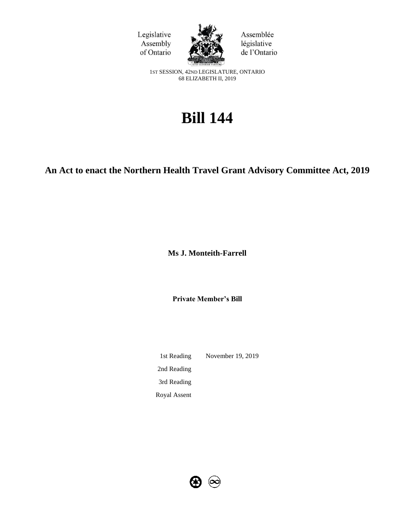



Assemblée législative de l'Ontario

1ST SESSION, 42ND LEGISLATURE, ONTARIO 68 ELIZABETH II, 2019

# **Bill 144**

## **An Act to enact the Northern Health Travel Grant Advisory Committee Act, 2019**

**Ms J. Monteith-Farrell**

**Private Member's Bill**

1st Reading November 19, 2019 2nd Reading 3rd Reading Royal Assent

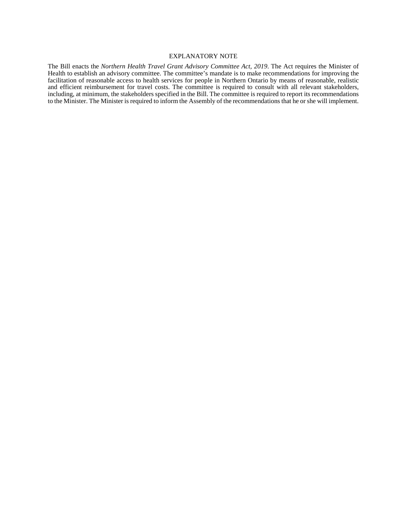#### EXPLANATORY NOTE

The Bill enacts the *Northern Health Travel Grant Advisory Committee Act, 2019*. The Act requires the Minister of Health to establish an advisory committee. The committee's mandate is to make recommendations for improving the facilitation of reasonable access to health services for people in Northern Ontario by means of reasonable, realistic and efficient reimbursement for travel costs. The committee is required to consult with all relevant stakeholders, including, at minimum, the stakeholders specified in the Bill. The committee is required to report its recommendations to the Minister. The Minister is required to inform the Assembly of the recommendations that he or she will implement.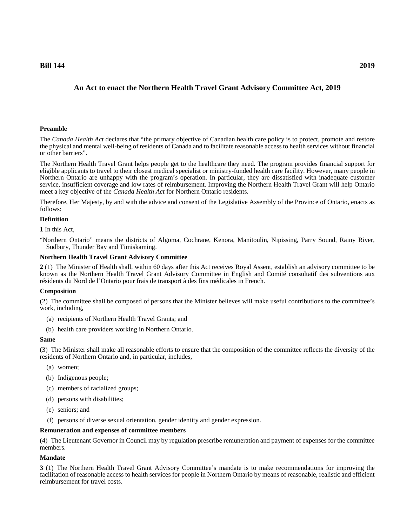### **Bill 144 2019**

#### **Preamble**

The *Canada Health Act* declares that "the primary objective of Canadian health care policy is to protect, promote and restore the physical and mental well-being of residents of Canada and to facilitate reasonable access to health services without financial or other barriers".

The Northern Health Travel Grant helps people get to the healthcare they need. The program provides financial support for eligible applicants to travel to their closest medical specialist or ministry-funded health care facility. However, many people in Northern Ontario are unhappy with the program's operation. In particular, they are dissatisfied with inadequate customer service, insufficient coverage and low rates of reimbursement. Improving the Northern Health Travel Grant will help Ontario meet a key objective of the *Canada Health Act* for Northern Ontario residents.

Therefore, Her Majesty, by and with the advice and consent of the Legislative Assembly of the Province of Ontario, enacts as follows:

#### **Definition**

**1** In this Act,

"Northern Ontario" means the districts of Algoma, Cochrane, Kenora, Manitoulin, Nipissing, Parry Sound, Rainy River, Sudbury, Thunder Bay and Timiskaming.

#### **Northern Health Travel Grant Advisory Committee**

**2** (1) The Minister of Health shall, within 60 days after this Act receives Royal Assent, establish an advisory committee to be known as the Northern Health Travel Grant Advisory Committee in English and Comité consultatif des subventions aux résidents du Nord de l'Ontario pour frais de transport à des fins médicales in French.

#### **Composition**

(2) The committee shall be composed of persons that the Minister believes will make useful contributions to the committee's work, including,

- (a) recipients of Northern Health Travel Grants; and
- (b) health care providers working in Northern Ontario.

#### **Same**

(3) The Minister shall make all reasonable efforts to ensure that the composition of the committee reflects the diversity of the residents of Northern Ontario and, in particular, includes,

- (a) women;
- (b) Indigenous people;
- (c) members of racialized groups;
- (d) persons with disabilities;
- (e) seniors; and
- (f) persons of diverse sexual orientation, gender identity and gender expression.

#### **Remuneration and expenses of committee members**

(4) The Lieutenant Governor in Council may by regulation prescribe remuneration and payment of expenses for the committee members.

#### **Mandate**

**3** (1) The Northern Health Travel Grant Advisory Committee's mandate is to make recommendations for improving the facilitation of reasonable access to health services for people in Northern Ontario by means of reasonable, realistic and efficient reimbursement for travel costs.